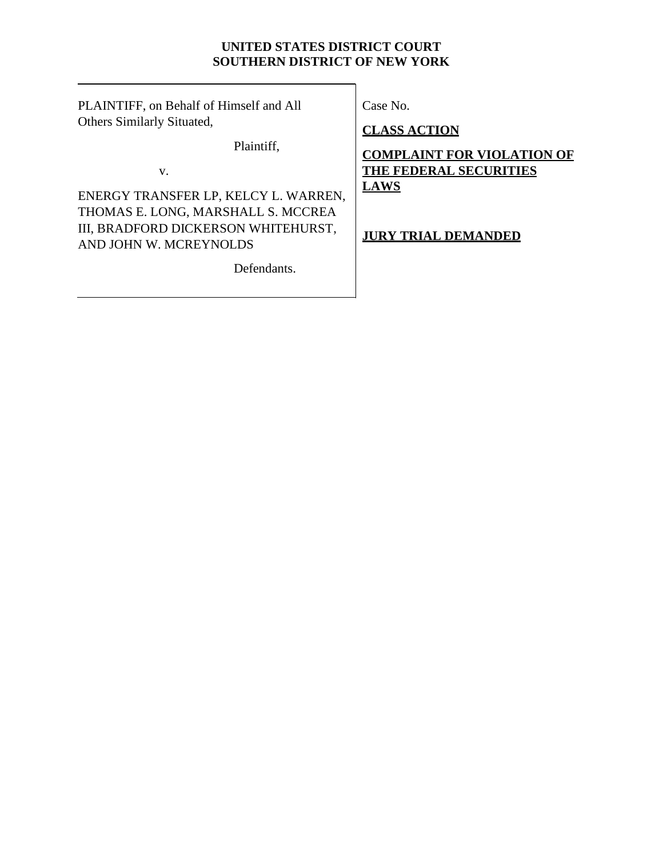# **UNITED STATES DISTRICT COURT SOUTHERN DISTRICT OF NEW YORK**

PLAINTIFF, on Behalf of Himself and All Others Similarly Situated,

Plaintiff,

v.

ENERGY TRANSFER LP, KELCY L. WARREN, THOMAS E. LONG, MARSHALL S. MCCREA III, BRADFORD DICKERSON WHITEHURST, AND JOHN W. MCREYNOLDS

Defendants.

Case No.

**CLASS ACTION**

**COMPLAINT FOR VIOLATION OF THE FEDERAL SECURITIES LAWS**

# **JURY TRIAL DEMANDED**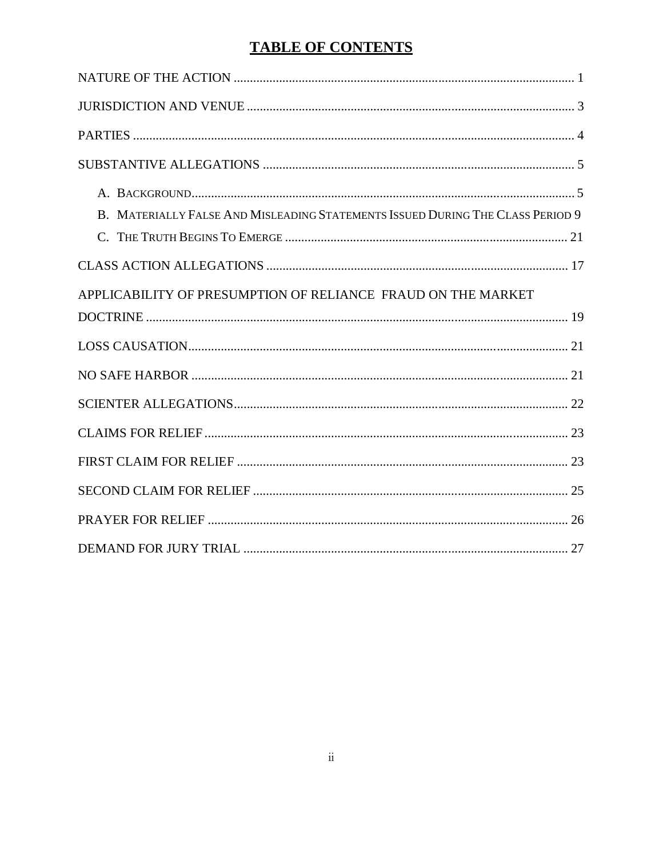# **TABLE OF CONTENTS**

| B. MATERIALLY FALSE AND MISLEADING STATEMENTS ISSUED DURING THE CLASS PERIOD 9 |
|--------------------------------------------------------------------------------|
|                                                                                |
| APPLICABILITY OF PRESUMPTION OF RELIANCE FRAUD ON THE MARKET                   |
|                                                                                |
|                                                                                |
|                                                                                |
|                                                                                |
|                                                                                |
|                                                                                |
|                                                                                |
|                                                                                |
|                                                                                |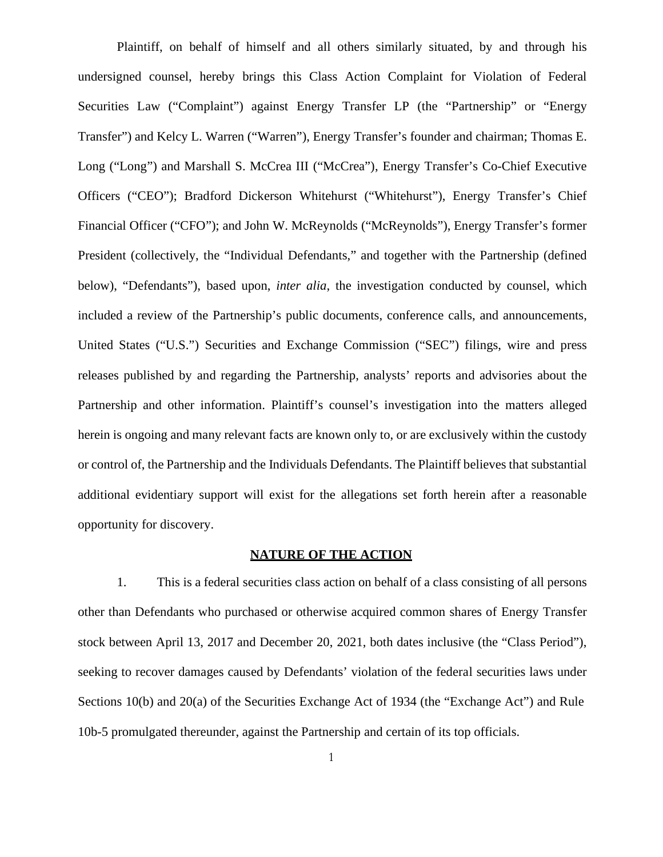Plaintiff, on behalf of himself and all others similarly situated, by and through his undersigned counsel, hereby brings this Class Action Complaint for Violation of Federal Securities Law ("Complaint") against Energy Transfer LP (the "Partnership" or "Energy Transfer") and Kelcy L. Warren ("Warren"), Energy Transfer's founder and chairman; Thomas E. Long ("Long") and Marshall S. McCrea III ("McCrea"), Energy Transfer's Co-Chief Executive Officers ("CEO"); Bradford Dickerson Whitehurst ("Whitehurst"), Energy Transfer's Chief Financial Officer ("CFO"); and John W. McReynolds ("McReynolds"), Energy Transfer's former President (collectively, the "Individual Defendants," and together with the Partnership (defined below), "Defendants"), based upon, *inter alia*, the investigation conducted by counsel, which included a review of the Partnership's public documents, conference calls, and announcements, United States ("U.S.") Securities and Exchange Commission ("SEC") filings, wire and press releases published by and regarding the Partnership, analysts' reports and advisories about the Partnership and other information. Plaintiff's counsel's investigation into the matters alleged herein is ongoing and many relevant facts are known only to, or are exclusively within the custody or control of, the Partnership and the Individuals Defendants. The Plaintiff believes that substantial additional evidentiary support will exist for the allegations set forth herein after a reasonable opportunity for discovery.

# **NATURE OF THE ACTION**

1. This is a federal securities class action on behalf of a class consisting of all persons other than Defendants who purchased or otherwise acquired common shares of Energy Transfer stock between April 13, 2017 and December 20, 2021, both dates inclusive (the "Class Period"), seeking to recover damages caused by Defendants' violation of the federal securities laws under Sections 10(b) and 20(a) of the Securities Exchange Act of 1934 (the "Exchange Act") and Rule 10b-5 promulgated thereunder, against the Partnership and certain of its top officials.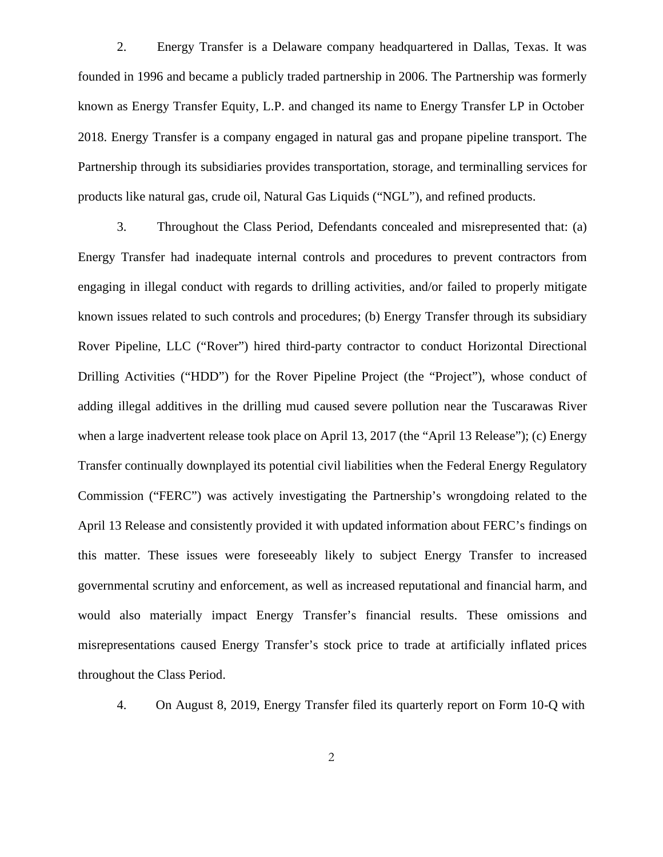2. Energy Transfer is a Delaware company headquartered in Dallas, Texas. It was founded in 1996 and became a publicly traded partnership in 2006. The Partnership was formerly known as Energy Transfer Equity, L.P. and changed its name to Energy Transfer LP in October 2018. Energy Transfer is a company engaged in natural gas and propane pipeline transport. The Partnership through its subsidiaries provides transportation, storage, and terminalling services for products like natural gas, crude oil, Natural Gas Liquids ("NGL"), and refined products.

3. Throughout the Class Period, Defendants concealed and misrepresented that: (a) Energy Transfer had inadequate internal controls and procedures to prevent contractors from engaging in illegal conduct with regards to drilling activities, and/or failed to properly mitigate known issues related to such controls and procedures; (b) Energy Transfer through its subsidiary Rover Pipeline, LLC ("Rover") hired third-party contractor to conduct Horizontal Directional Drilling Activities ("HDD") for the Rover Pipeline Project (the "Project"), whose conduct of adding illegal additives in the drilling mud caused severe pollution near the Tuscarawas River when a large inadvertent release took place on April 13, 2017 (the "April 13 Release"); (c) Energy Transfer continually downplayed its potential civil liabilities when the Federal Energy Regulatory Commission ("FERC") was actively investigating the Partnership's wrongdoing related to the April 13 Release and consistently provided it with updated information about FERC's findings on this matter. These issues were foreseeably likely to subject Energy Transfer to increased governmental scrutiny and enforcement, as well as increased reputational and financial harm, and would also materially impact Energy Transfer's financial results. These omissions and misrepresentations caused Energy Transfer's stock price to trade at artificially inflated prices throughout the Class Period.

4. On August 8, 2019, Energy Transfer filed its quarterly report on Form 10-Q with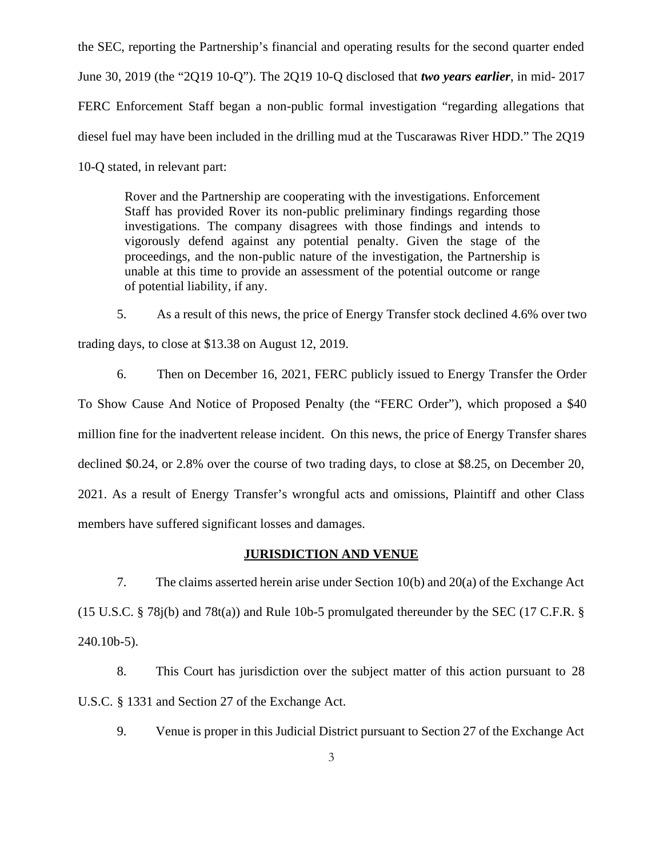the SEC, reporting the Partnership's financial and operating results for the second quarter ended June 30, 2019 (the "2Q19 10-Q"). The 2Q19 10-Q disclosed that *two years earlier*, in mid- 2017 FERC Enforcement Staff began a non-public formal investigation "regarding allegations that diesel fuel may have been included in the drilling mud at the Tuscarawas River HDD." The 2Q19 10-Q stated, in relevant part:

Rover and the Partnership are cooperating with the investigations. Enforcement Staff has provided Rover its non-public preliminary findings regarding those investigations. The company disagrees with those findings and intends to vigorously defend against any potential penalty. Given the stage of the proceedings, and the non-public nature of the investigation, the Partnership is unable at this time to provide an assessment of the potential outcome or range of potential liability, if any.

5. As a result of this news, the price of Energy Transfer stock declined 4.6% over two trading days, to close at \$13.38 on August 12, 2019.

6. Then on December 16, 2021, FERC publicly issued to Energy Transfer the Order To Show Cause And Notice of Proposed Penalty (the "FERC Order"), which proposed a \$40 million fine for the inadvertent release incident. On this news, the price of Energy Transfer shares declined \$0.24, or 2.8% over the course of two trading days, to close at \$8.25, on December 20, 2021. As a result of Energy Transfer's wrongful acts and omissions, Plaintiff and other Class members have suffered significant losses and damages.

#### **JURISDICTION AND VENUE**

7. The claims asserted herein arise under Section 10(b) and 20(a) of the Exchange Act (15 U.S.C. § 78j(b) and 78t(a)) and Rule 10b-5 promulgated thereunder by the SEC (17 C.F.R. § 240.10b-5).

8. This Court has jurisdiction over the subject matter of this action pursuant to 28 U.S.C. § 1331 and Section 27 of the Exchange Act.

9. Venue is proper in this Judicial District pursuant to Section 27 of the Exchange Act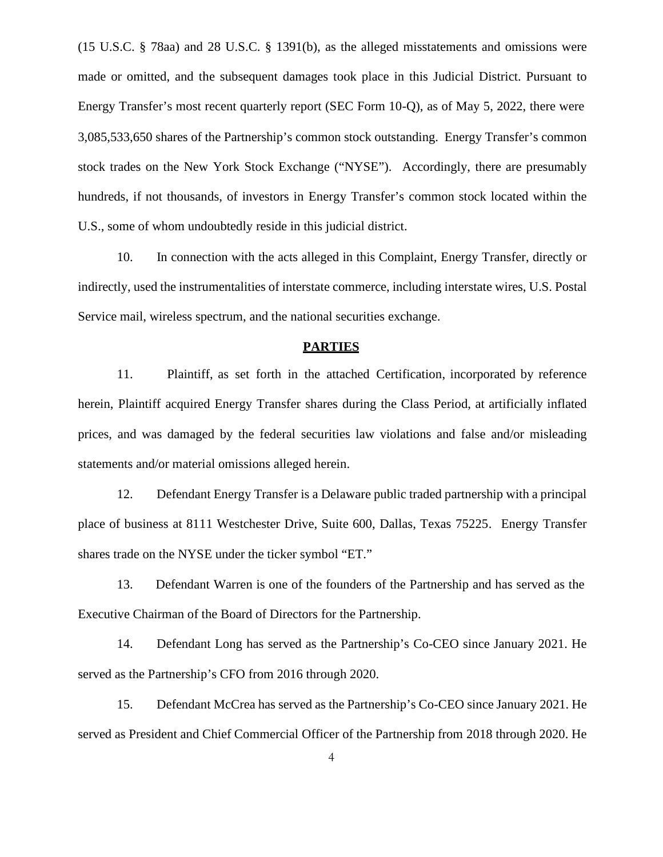(15 U.S.C. § 78aa) and 28 U.S.C. § 1391(b), as the alleged misstatements and omissions were made or omitted, and the subsequent damages took place in this Judicial District. Pursuant to Energy Transfer's most recent quarterly report (SEC Form 10-Q), as of May 5, 2022, there were 3,085,533,650 shares of the Partnership's common stock outstanding. Energy Transfer's common stock trades on the New York Stock Exchange ("NYSE"). Accordingly, there are presumably hundreds, if not thousands, of investors in Energy Transfer's common stock located within the U.S., some of whom undoubtedly reside in this judicial district.

10. In connection with the acts alleged in this Complaint, Energy Transfer, directly or indirectly, used the instrumentalities of interstate commerce, including interstate wires, U.S. Postal Service mail, wireless spectrum, and the national securities exchange.

#### **PARTIES**

11. Plaintiff, as set forth in the attached Certification, incorporated by reference herein, Plaintiff acquired Energy Transfer shares during the Class Period, at artificially inflated prices, and was damaged by the federal securities law violations and false and/or misleading statements and/or material omissions alleged herein.

12. Defendant Energy Transfer is a Delaware public traded partnership with a principal place of business at 8111 Westchester Drive, Suite 600, Dallas, Texas 75225. Energy Transfer shares trade on the NYSE under the ticker symbol "ET."

13. Defendant Warren is one of the founders of the Partnership and has served as the Executive Chairman of the Board of Directors for the Partnership.

14. Defendant Long has served as the Partnership's Co-CEO since January 2021. He served as the Partnership's CFO from 2016 through 2020.

15. Defendant McCrea has served as the Partnership's Co-CEO since January 2021. He served as President and Chief Commercial Officer of the Partnership from 2018 through 2020. He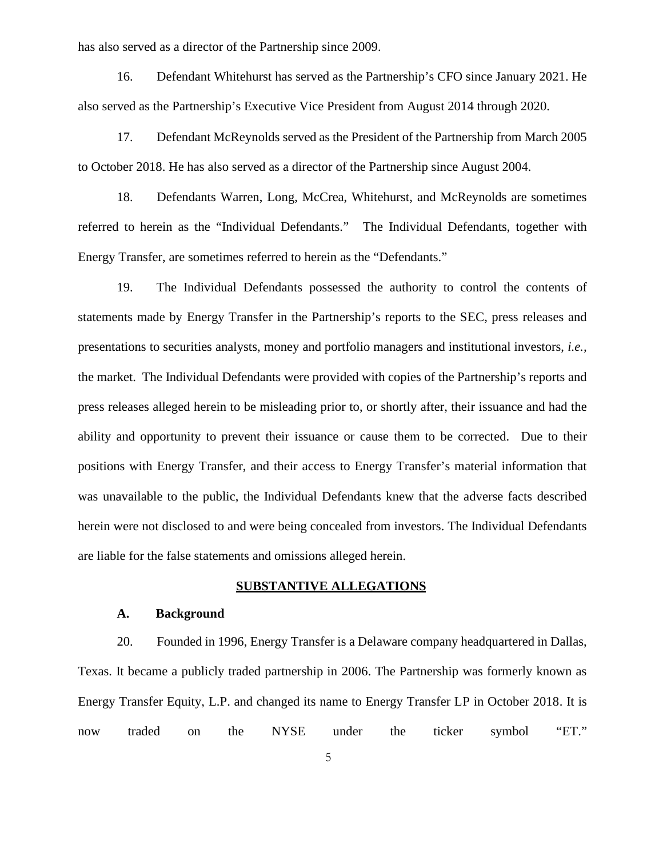has also served as a director of the Partnership since 2009.

16. Defendant Whitehurst has served as the Partnership's CFO since January 2021. He also served as the Partnership's Executive Vice President from August 2014 through 2020.

17. Defendant McReynolds served as the President of the Partnership from March 2005 to October 2018. He has also served as a director of the Partnership since August 2004.

18. Defendants Warren, Long, McCrea, Whitehurst, and McReynolds are sometimes referred to herein as the "Individual Defendants." The Individual Defendants, together with Energy Transfer, are sometimes referred to herein as the "Defendants."

19. The Individual Defendants possessed the authority to control the contents of statements made by Energy Transfer in the Partnership's reports to the SEC, press releases and presentations to securities analysts, money and portfolio managers and institutional investors, *i.e.,* the market. The Individual Defendants were provided with copies of the Partnership's reports and press releases alleged herein to be misleading prior to, or shortly after, their issuance and had the ability and opportunity to prevent their issuance or cause them to be corrected. Due to their positions with Energy Transfer, and their access to Energy Transfer's material information that was unavailable to the public, the Individual Defendants knew that the adverse facts described herein were not disclosed to and were being concealed from investors. The Individual Defendants are liable for the false statements and omissions alleged herein.

## **SUBSTANTIVE ALLEGATIONS**

## **A. Background**

20. Founded in 1996, Energy Transfer is a Delaware company headquartered in Dallas, Texas. It became a publicly traded partnership in 2006. The Partnership was formerly known as Energy Transfer Equity, L.P. and changed its name to Energy Transfer LP in October 2018. It is now traded on the NYSE under the ticker symbol "ET."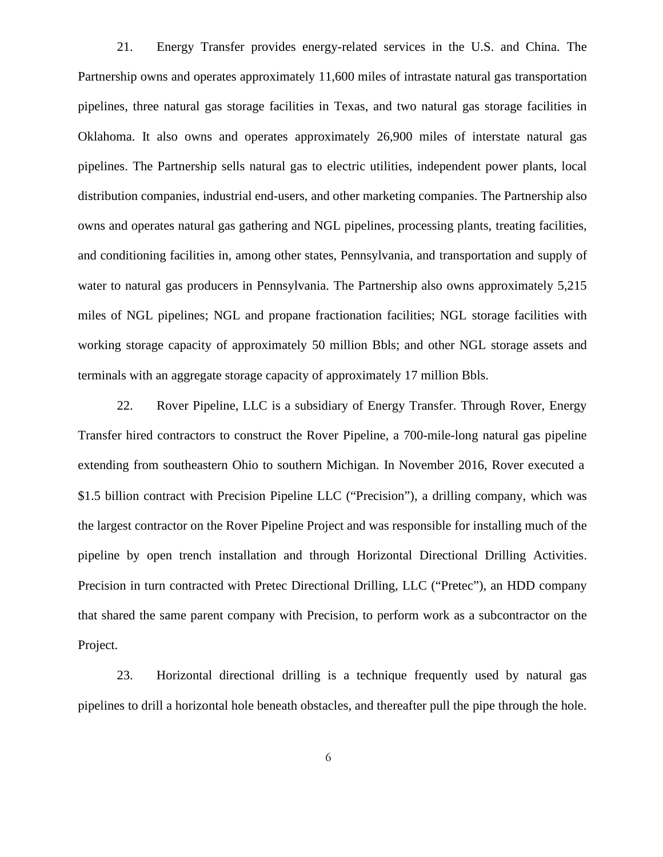21. Energy Transfer provides energy-related services in the U.S. and China. The Partnership owns and operates approximately 11,600 miles of intrastate natural gas transportation pipelines, three natural gas storage facilities in Texas, and two natural gas storage facilities in Oklahoma. It also owns and operates approximately 26,900 miles of interstate natural gas pipelines. The Partnership sells natural gas to electric utilities, independent power plants, local distribution companies, industrial end-users, and other marketing companies. The Partnership also owns and operates natural gas gathering and NGL pipelines, processing plants, treating facilities, and conditioning facilities in, among other states, Pennsylvania, and transportation and supply of water to natural gas producers in Pennsylvania. The Partnership also owns approximately 5,215 miles of NGL pipelines; NGL and propane fractionation facilities; NGL storage facilities with working storage capacity of approximately 50 million Bbls; and other NGL storage assets and terminals with an aggregate storage capacity of approximately 17 million Bbls.

22. Rover Pipeline, LLC is a subsidiary of Energy Transfer. Through Rover, Energy Transfer hired contractors to construct the Rover Pipeline, a 700-mile-long natural gas pipeline extending from southeastern Ohio to southern Michigan. In November 2016, Rover executed a \$1.5 billion contract with Precision Pipeline LLC ("Precision"), a drilling company, which was the largest contractor on the Rover Pipeline Project and was responsible for installing much of the pipeline by open trench installation and through Horizontal Directional Drilling Activities. Precision in turn contracted with Pretec Directional Drilling, LLC ("Pretec"), an HDD company that shared the same parent company with Precision, to perform work as a subcontractor on the Project.

23. Horizontal directional drilling is a technique frequently used by natural gas pipelines to drill a horizontal hole beneath obstacles, and thereafter pull the pipe through the hole.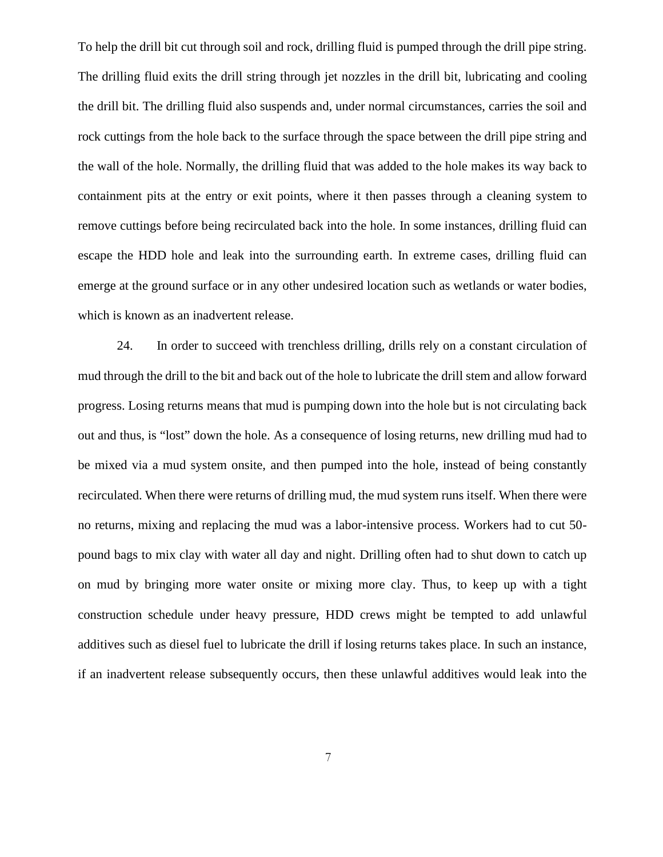To help the drill bit cut through soil and rock, drilling fluid is pumped through the drill pipe string. The drilling fluid exits the drill string through jet nozzles in the drill bit, lubricating and cooling the drill bit. The drilling fluid also suspends and, under normal circumstances, carries the soil and rock cuttings from the hole back to the surface through the space between the drill pipe string and the wall of the hole. Normally, the drilling fluid that was added to the hole makes its way back to containment pits at the entry or exit points, where it then passes through a cleaning system to remove cuttings before being recirculated back into the hole. In some instances, drilling fluid can escape the HDD hole and leak into the surrounding earth. In extreme cases, drilling fluid can emerge at the ground surface or in any other undesired location such as wetlands or water bodies, which is known as an inadvertent release.

24. In order to succeed with trenchless drilling, drills rely on a constant circulation of mud through the drill to the bit and back out of the hole to lubricate the drill stem and allow forward progress. Losing returns means that mud is pumping down into the hole but is not circulating back out and thus, is "lost" down the hole. As a consequence of losing returns, new drilling mud had to be mixed via a mud system onsite, and then pumped into the hole, instead of being constantly recirculated. When there were returns of drilling mud, the mud system runs itself. When there were no returns, mixing and replacing the mud was a labor-intensive process. Workers had to cut 50 pound bags to mix clay with water all day and night. Drilling often had to shut down to catch up on mud by bringing more water onsite or mixing more clay. Thus, to keep up with a tight construction schedule under heavy pressure, HDD crews might be tempted to add unlawful additives such as diesel fuel to lubricate the drill if losing returns takes place. In such an instance, if an inadvertent release subsequently occurs, then these unlawful additives would leak into the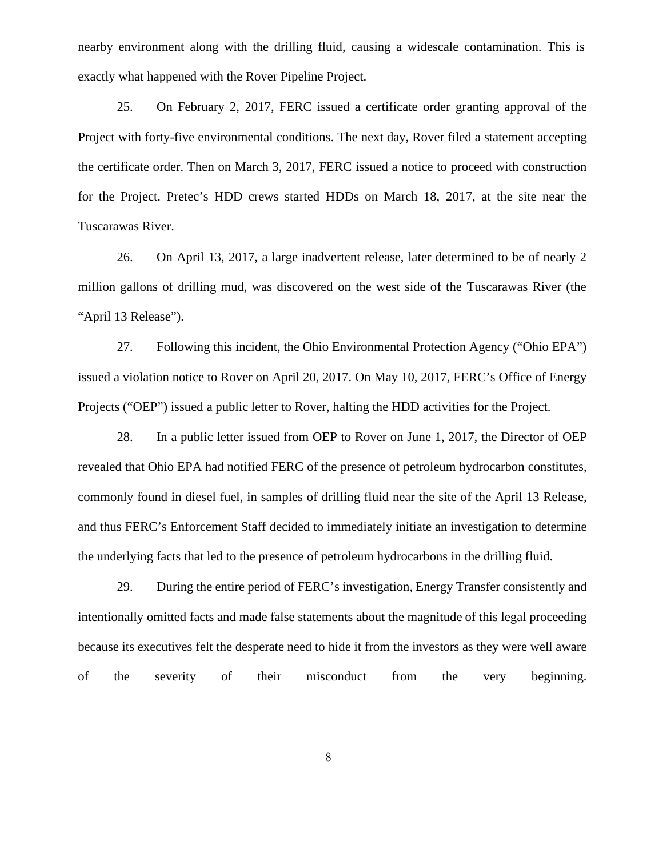nearby environment along with the drilling fluid, causing a widescale contamination. This is exactly what happened with the Rover Pipeline Project.

25. On February 2, 2017, FERC issued a certificate order granting approval of the Project with forty-five environmental conditions. The next day, Rover filed a statement accepting the certificate order. Then on March 3, 2017, FERC issued a notice to proceed with construction for the Project. Pretec's HDD crews started HDDs on March 18, 2017, at the site near the Tuscarawas River.

26. On April 13, 2017, a large inadvertent release, later determined to be of nearly 2 million gallons of drilling mud, was discovered on the west side of the Tuscarawas River (the "April 13 Release").

27. Following this incident, the Ohio Environmental Protection Agency ("Ohio EPA") issued a violation notice to Rover on April 20, 2017. On May 10, 2017, FERC's Office of Energy Projects ("OEP") issued a public letter to Rover, halting the HDD activities for the Project.

28. In a public letter issued from OEP to Rover on June 1, 2017, the Director of OEP revealed that Ohio EPA had notified FERC of the presence of petroleum hydrocarbon constitutes, commonly found in diesel fuel, in samples of drilling fluid near the site of the April 13 Release, and thus FERC's Enforcement Staff decided to immediately initiate an investigation to determine the underlying facts that led to the presence of petroleum hydrocarbons in the drilling fluid.

29. During the entire period of FERC's investigation, Energy Transfer consistently and intentionally omitted facts and made false statements about the magnitude of this legal proceeding because its executives felt the desperate need to hide it from the investors as they were well aware of the severity of their misconduct from the very beginning.

8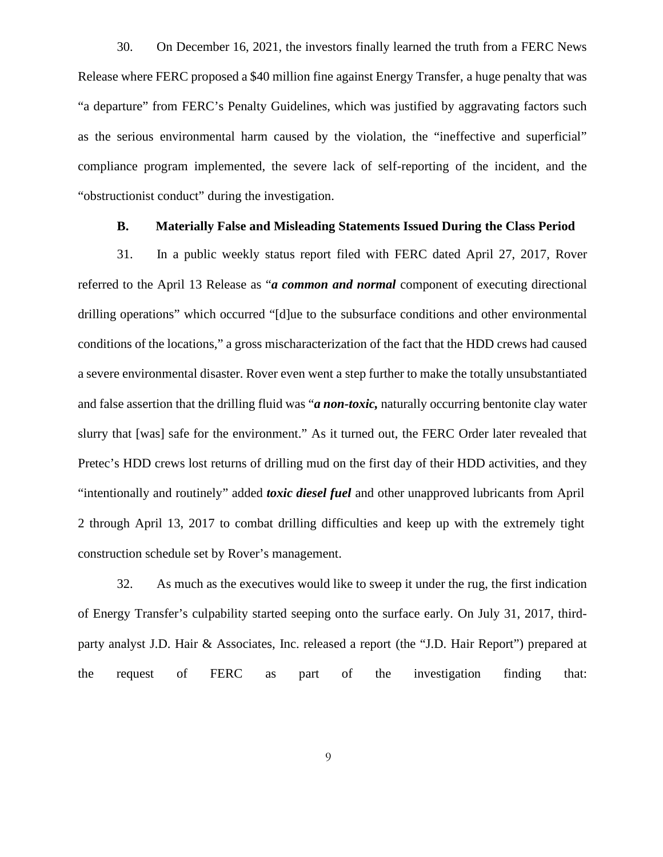30. On December 16, 2021, the investors finally learned the truth from a FERC News Release where FERC proposed a \$40 million fine against Energy Transfer, a huge penalty that was "a departure" from FERC's Penalty Guidelines, which was justified by aggravating factors such as the serious environmental harm caused by the violation, the "ineffective and superficial" compliance program implemented, the severe lack of self-reporting of the incident, and the "obstructionist conduct" during the investigation.

## **B. Materially False and Misleading Statements Issued During the Class Period**

31. In a public weekly status report filed with FERC dated April 27, 2017, Rover referred to the April 13 Release as "*a common and normal* component of executing directional drilling operations" which occurred "[d]ue to the subsurface conditions and other environmental conditions of the locations," a gross mischaracterization of the fact that the HDD crews had caused a severe environmental disaster. Rover even went a step further to make the totally unsubstantiated and false assertion that the drilling fluid was "*a non-toxic,* naturally occurring bentonite clay water slurry that [was] safe for the environment." As it turned out, the FERC Order later revealed that Pretec's HDD crews lost returns of drilling mud on the first day of their HDD activities, and they "intentionally and routinely" added *toxic diesel fuel* and other unapproved lubricants from April 2 through April 13, 2017 to combat drilling difficulties and keep up with the extremely tight construction schedule set by Rover's management.

32. As much as the executives would like to sweep it under the rug, the first indication of Energy Transfer's culpability started seeping onto the surface early. On July 31, 2017, third party analyst J.D. Hair & Associates, Inc. released a report (the "J.D. Hair Report") prepared at the request of FERC as part of the investigation finding that: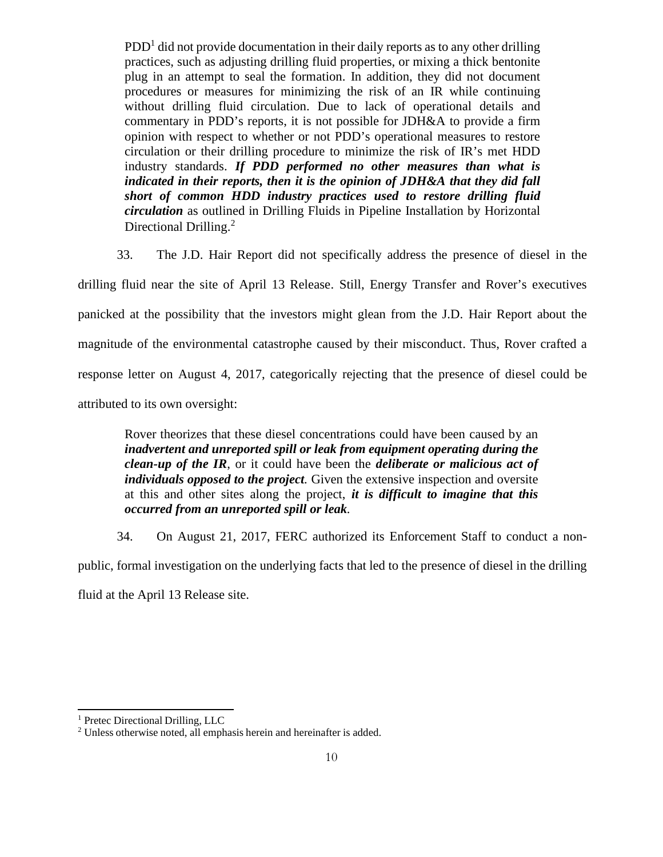$PDD<sup>1</sup>$  did not provide documentation in their daily reports as to any other drilling practices, such as adjusting drilling fluid properties, or mixing a thick bentonite plug in an attempt to seal the formation. In addition, they did not document procedures or measures for minimizing the risk of an IR while continuing without drilling fluid circulation. Due to lack of operational details and commentary in PDD's reports, it is not possible for JDH&A to provide a firm opinion with respect to whether or not PDD's operational measures to restore circulation or their drilling procedure to minimize the risk of  $\mathbb{R}^n$ 's met  $\text{HDD}$ industry standards. *If PDD performed no other measures than what is indicated in their reports, then it is the opinion of JDH&A that they did fall short of common HDD industry practices used to restore drilling fluid circulation* as outlined in Drilling Fluids in Pipeline Installation by Horizontal Directional Drilling.<sup>2</sup>

33. The J.D. Hair Report did not specifically address the presence of diesel in the

drilling fluid near the site of April 13 Release. Still, Energy Transfer and Rover's executives panicked at the possibility that the investors might glean from the J.D. Hair Report about the magnitude of the environmental catastrophe caused by their misconduct. Thus, Rover crafted a response letter on August 4, 2017, categorically rejecting that the presence of diesel could be attributed to its own oversight:

Rover theorizes that these diesel concentrations could have been caused by an *inadvertent and unreported spill or leak from equipment operating during the clean-up of the IR*, or it could have been the *deliberate or malicious act of individuals opposed to the project.* Given the extensive inspection and oversite at this and other sites along the project, *it is difficult to imagine that this occurred from an unreported spill or leak.*

34. On August 21, 2017, FERC authorized its Enforcement Staff to conduct a non-

public, formal investigation on the underlying facts that led to the presence of diesel in the drilling

fluid at the April 13 Release site.

<sup>&</sup>lt;sup>1</sup> Pretec Directional Drilling, LLC

<sup>&</sup>lt;sup>2</sup> Unless otherwise noted, all emphasis herein and hereinafter is added.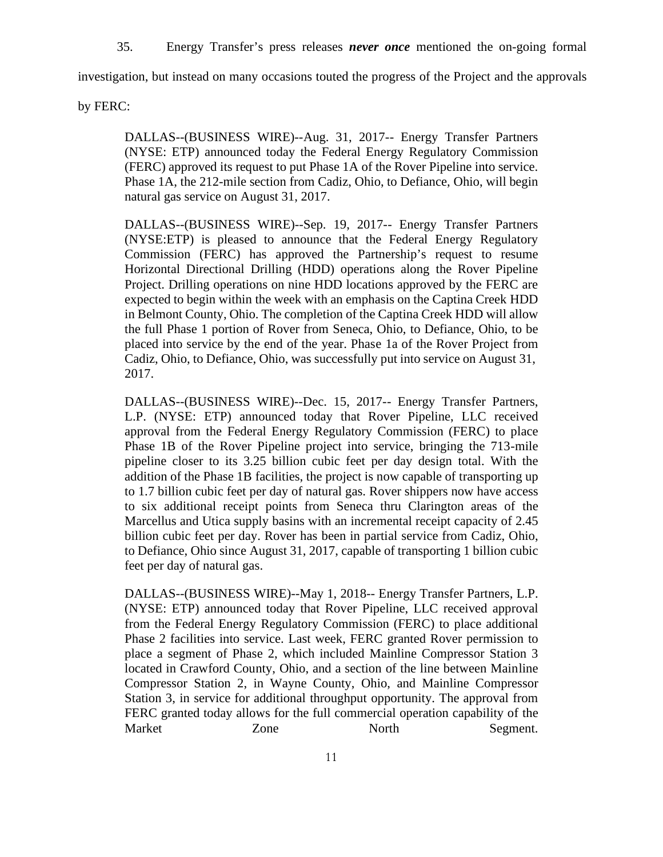35. Energy Transfer's press releases *never once* mentioned the on-going formal

investigation, but instead on many occasions touted the progress of the Project and the approvals

by FERC:

DALLAS--(BUSINESS WIRE)--Aug. 31, 2017-- Energy Transfer Partners (NYSE: ETP) announced today the Federal Energy Regulatory Commission (FERC) approved its request to put Phase 1A of the Rover Pipeline into service. Phase 1A, the 212-mile section from Cadiz, Ohio, to Defiance, Ohio, will begin natural gas service on August 31, 2017.

DALLAS--(BUSINESS WIRE)--Sep. 19, 2017-- Energy Transfer Partners (NYSE:ETP) is pleased to announce that the Federal Energy Regulatory Commission (FERC) has approved the Partnership's request to resume Horizontal Directional Drilling (HDD) operations along the Rover Pipeline Project. Drilling operations on nine HDD locations approved by the FERC are expected to begin within the week with an emphasis on the Captina Creek HDD in Belmont County, Ohio. The completion of the Captina Creek HDD will allow the full Phase 1 portion of Rover from Seneca, Ohio, to Defiance, Ohio, to be placed into service by the end of the year. Phase 1a of the Rover Project from Cadiz, Ohio, to Defiance, Ohio, was successfully put into service on August 31, 2017.

DALLAS--(BUSINESS WIRE)--Dec. 15, 2017-- Energy Transfer Partners, L.P. (NYSE: ETP) announced today that Rover Pipeline, LLC received approval from the Federal Energy Regulatory Commission (FERC) to place Phase 1B of the Rover Pipeline project into service, bringing the 713-mile pipeline closer to its 3.25 billion cubic feet per day design total. With the addition of the Phase 1B facilities, the project is now capable of transporting up to 1.7 billion cubic feet per day of natural gas. Rover shippers now have access to six additional receipt points from Seneca thru Clarington areas of the Marcellus and Utica supply basins with an incremental receipt capacity of 2.45 billion cubic feet per day. Rover has been in partial service from Cadiz, Ohio, to Defiance, Ohio since August 31, 2017, capable of transporting 1 billion cubic feet per day of natural gas.

DALLAS--(BUSINESS WIRE)--May 1, 2018-- Energy Transfer Partners, L.P. (NYSE: ETP) announced today that Rover Pipeline, LLC received approval from the Federal Energy Regulatory Commission (FERC) to place additional Phase 2 facilities into service. Last week, FERC granted Rover permission to place a segment of Phase 2, which included Mainline Compressor Station 3 located in Crawford County, Ohio, and a section of the line between Mainline Compressor Station 2, in Wayne County, Ohio, and Mainline Compressor Station 3, in service for additional throughput opportunity. The approval from FERC granted today allows for the full commercial operation capability of the Market **Zone** North Segment.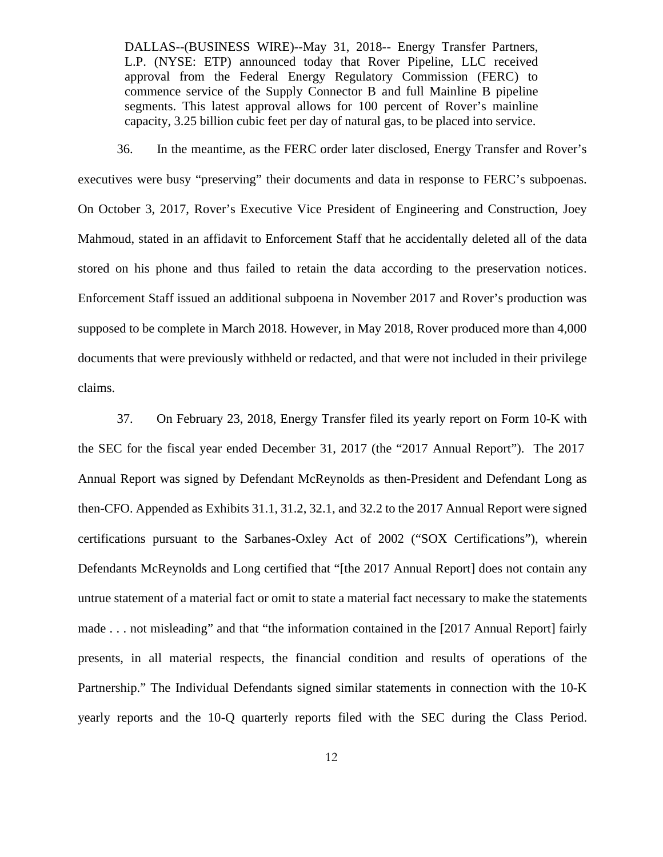DALLAS--(BUSINESS WIRE)--May 31, 2018-- Energy Transfer Partners, L.P. (NYSE: ETP) announced today that Rover Pipeline, LLC received approval from the Federal Energy Regulatory Commission (FERC) to commence service of the Supply Connector B and full Mainline B pipeline segments. This latest approval allows for 100 percent of Rover's mainline capacity, 3.25 billion cubic feet per day of natural gas, to be placed into service.

36. In the meantime, as the FERC order later disclosed, Energy Transfer and Rover's executives were busy "preserving" their documents and data in response to FERC's subpoenas. On October 3, 2017, Rover's Executive Vice President of Engineering and Construction, Joey Mahmoud, stated in an affidavit to Enforcement Staff that he accidentally deleted all of the data stored on his phone and thus failed to retain the data according to the preservation notices. Enforcement Staff issued an additional subpoena in November 2017 and Rover's production was supposed to be complete in March 2018. However, in May 2018, Rover produced more than 4,000 documents that were previously withheld or redacted, and that were not included in their privilege claims.

37. On February 23, 2018, Energy Transfer filed its yearly report on Form 10-K with the SEC for the fiscal year ended December 31, 2017 (the "2017 Annual Report"). The 2017 Annual Report was signed by Defendant McReynolds as then-President and Defendant Long as then-CFO. Appended as Exhibits 31.1, 31.2, 32.1, and 32.2 to the 2017 Annual Report were signed certifications pursuant to the Sarbanes-Oxley Act of 2002 ("SOX Certifications"), wherein Defendants McReynolds and Long certified that "[the 2017 Annual Report] does not contain any untrue statement of a material fact or omit to state a material fact necessary to make the statements made . . . not misleading" and that "the information contained in the [2017 Annual Report] fairly presents, in allmaterial respects, the financial condition and results of operations of the Partnership." The Individual Defendants signed similar statements in connection with the 10-K yearly reports and the 10-Q quarterly reports filed with the SEC during the Class Period.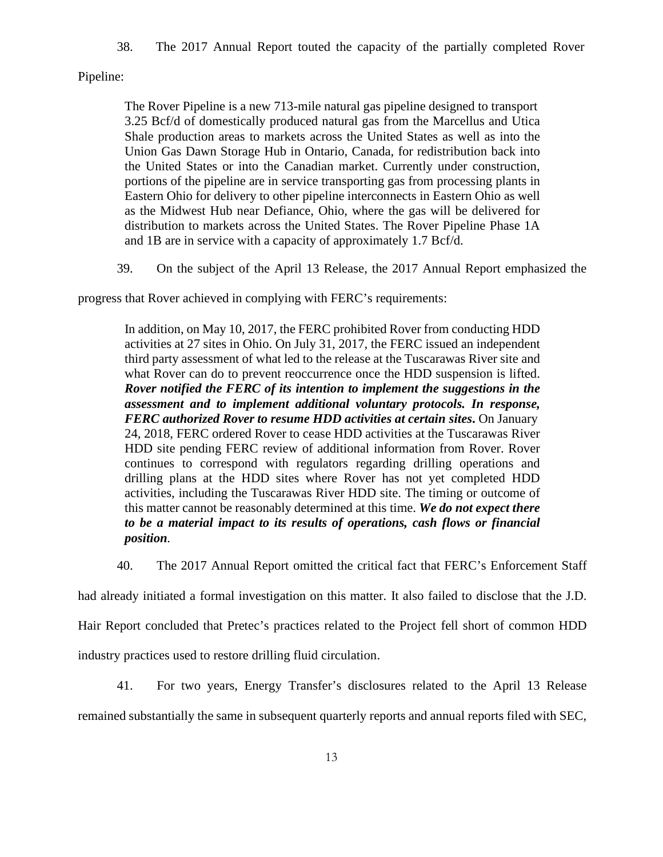38. The 2017 Annual Report touted the capacity of the partially completed Rover

Pipeline:

The Rover Pipeline is a new 713-mile natural gas pipeline designed to transport 3.25 Bcf/d of domestically produced natural gas from the Marcellus and Utica Shale production areas to markets across the United States as well as into the Union Gas Dawn Storage Hub in Ontario, Canada, for redistribution back into the United States or into the Canadian market. Currently under construction, portions of the pipeline are in service transporting gas from processing plants in Eastern Ohio for delivery to other pipeline interconnects in Eastern Ohio as well as the Midwest Hub near Defiance, Ohio, where the gas will be delivered for distribution to markets across the United States. The Rover Pipeline Phase 1A and 1B are in service with a capacity of approximately 1.7 Bcf/d.

39. On the subject of the April 13 Release, the 2017 Annual Report emphasized the

progress that Rover achieved in complying with FERC's requirements:

In addition, on May 10, 2017, the FERC prohibited Rover from conducting HDD activities at 27 sites in Ohio. On July 31, 2017, the FERC issued an independent third party assessment of what led to the release at the Tuscarawas River site and what Rover can do to prevent reoccurrence once the HDD suspension is lifted. *Rover notified the FERC of its intention to implement the suggestions in the assessment and to implement additional voluntary protocols. In response, FERC authorized Rover to resume HDD activities at certain sites***.**On January 24, 2018, FERC ordered Rover to cease HDD activities at the Tuscarawas River HDD site pending FERC review of additional information from Rover. Rover continues to correspond with regulators regarding drilling operations and drilling plans at the HDD sites where Rover has not yet completed HDD activities, including the Tuscarawas River HDD site. The timing or outcome of this matter cannot be reasonably determined at this time. *We do not expect there to be a material impact to its results of operations, cash flows or financial position.*

40. The 2017 Annual Report omitted the critical fact that FERC's Enforcement Staff

had already initiated a formal investigation on this matter. It also failed to disclose that the J.D.

Hair Report concluded that Pretec's practices related to the Project fell short of common HDD

industry practices used to restore drilling fluid circulation.

41. For two years, Energy Transfer's disclosures related to the April 13 Release

remained substantially the same in subsequent quarterly reports and annual reports filed with SEC,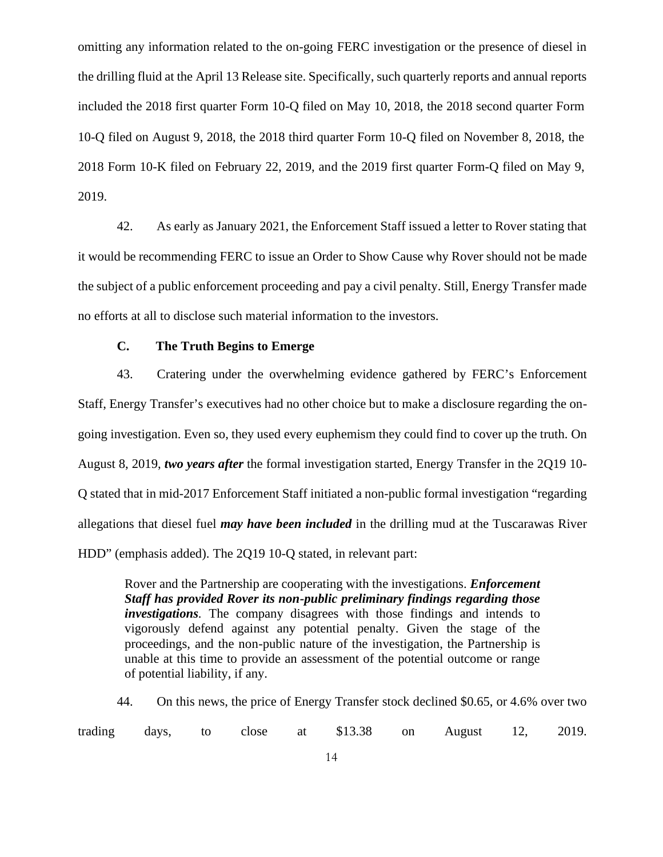omitting any information related to the on-going FERC investigation or the presence of diesel in the drilling fluid at the April 13 Release site. Specifically, such quarterly reports and annual reports included the 2018 first quarter Form 10-Q filed on May 10, 2018, the 2018 second quarter Form 10-Q filed on August 9, 2018, the 2018 third quarter Form 10-Q filed on November 8, 2018, the 2018 Form 10-K filed on February 22, 2019, and the 2019 first quarter Form-Q filed on May 9, 2019.

42. As early as January 2021, the Enforcement Staff issued a letter to Rover stating that it would be recommending FERC to issue an Order to Show Cause why Rover should not be made the subject of a public enforcement proceeding and pay a civil penalty. Still, Energy Transfer made no efforts at all to disclose such material information to the investors.

## **C. The Truth Begins to Emerge**

43. Cratering under the overwhelming evidence gathered by FERC's Enforcement Staff, Energy Transfer's executives had no other choice but to make a disclosure regarding the on going investigation. Even so, they used every euphemism they could find to cover up the truth. On August 8, 2019, *two years after* the formal investigation started, Energy Transfer in the 2Q19 10- Q stated that in mid-2017 Enforcement Staff initiated a non-public formal investigation "regarding allegations that diesel fuel *may have been included* in the drilling mud at the Tuscarawas River HDD" (emphasis added). The 2Q19 10-Q stated, in relevant part:

Rover and the Partnership are cooperating with the investigations. *Enforcement Staff has provided Rover its non-public preliminary findings regarding those investigations.* The company disagrees with those findings and intends to vigorously defend against any potential penalty. Given the stage of the proceedings, and the non-public nature of the investigation, the Partnership is unable at this time to provide an assessment of the potential outcome or range of potential liability, if any.

44. On this news, the price of Energy Transfer stock declined \$0.65, or 4.6% over two trading days, to close at \$13.38 on August 12, 2019.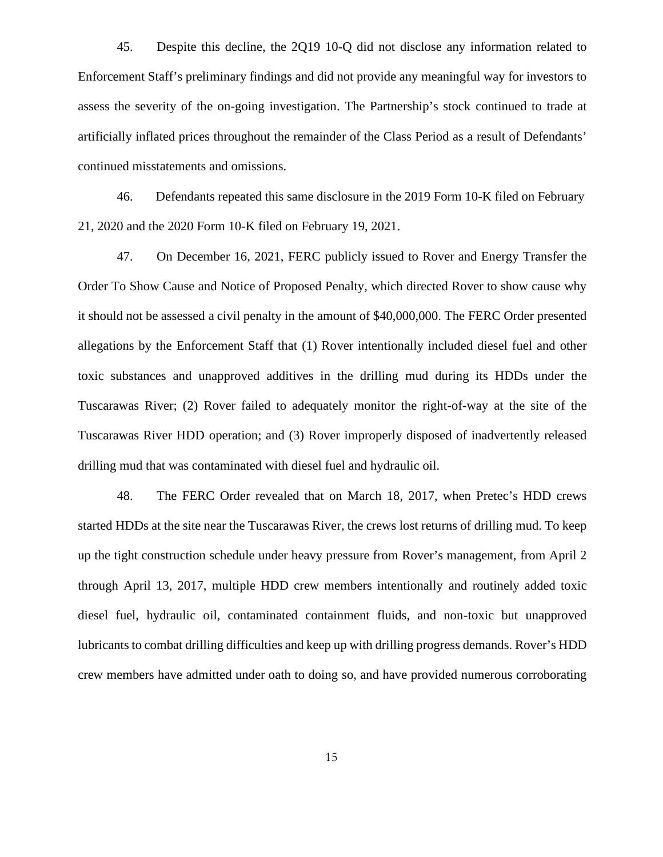45. Despite this decline, the 2Q19 10-Q did not disclose any information related to Enforcement Staff's preliminary findings and did not provide any meaningful way for investors to assess the severity of the on-going investigation. The Partnership's stock continued to trade at artificially inflated prices throughout the remainder of the Class Period as a result of Defendants' continued misstatements and omissions.

46. Defendants repeated this same disclosure in the 2019 Form 10-K filed on February 21, 2020 and the 2020 Form 10-K filed on February 19, 2021.

47. On December 16, 2021, FERC publicly issued to Rover and Energy Transfer the Order To Show Cause and Notice of Proposed Penalty, which directed Rover to show cause why it should not be assessed a civil penalty in the amount of \$40,000,000. The FERC Order presented allegations by the Enforcement Staff that (1) Rover intentionally included diesel fuel and other toxic substances and unapproved additives in the drilling mud during its HDDs under the Tuscarawas River; (2) Rover failed to adequately monitor the right-of-way at the site of the Tuscarawas River HDD operation; and (3) Rover improperly disposed of inadvertently released drilling mud that was contaminated with diesel fuel and hydraulic oil.

48. The FERC Order revealed that on March 18, 2017, when Pretec's HDD crews started HDDs at the site near the Tuscarawas River, the crews lost returns of drilling mud. To keep up the tight construction schedule under heavy pressure from Rover's management, from April 2 through April 13, 2017, multiple HDD crew members intentionally and routinely added toxic diesel fuel, hydraulic oil, contaminated containment fluids, and non-toxic but unapproved lubricants to combat drilling difficulties and keep up with drilling progress demands. Rover's HDD crew members have admitted under oath to doing so, and have provided numerous corroborating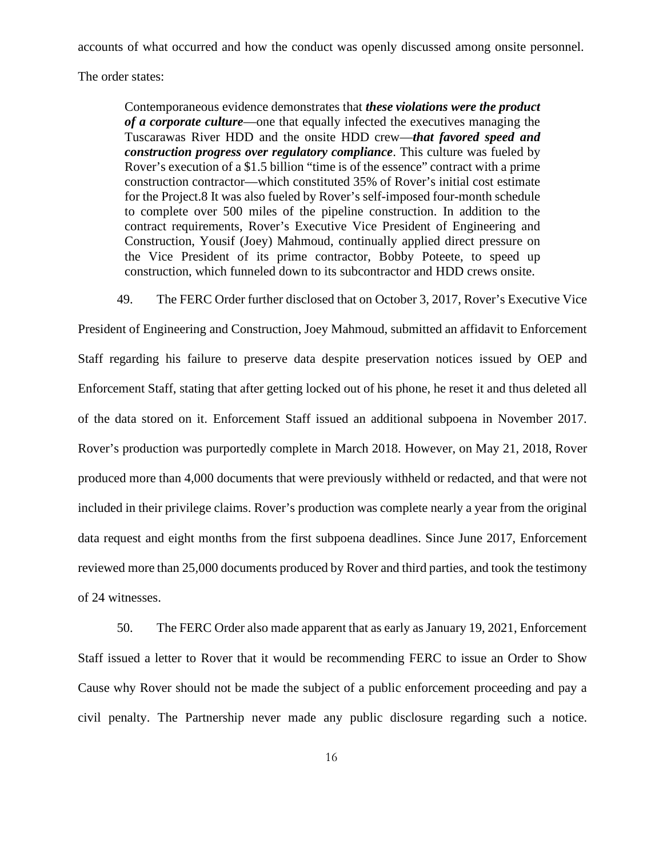accounts of what occurred and how the conduct was openly discussed among onsite personnel.

The order states:

Contemporaneous evidence demonstrates that *these violations were the product of a corporate culture*—one that equally infected the executives managing the Tuscarawas River HDD and the onsite HDD crew—*that favored speed and construction progress over regulatory compliance*. This culture was fueled by Rover's execution of a \$1.5 billion "time is of the essence" contract with a prime construction contractor—which constituted 35% of Rover's initial cost estimate for the Project.8 It was also fueled by Rover's self-imposed four-month schedule to complete over 500 miles of the pipeline construction. In addition to the contract requirements, Rover's Executive Vice President of Engineering and Construction, Yousif (Joey) Mahmoud, continually applied direct pressure on the Vice President of its prime contractor, Bobby Poteete, to speed up construction, which funneled down to its subcontractor and HDD crews onsite.

49. The FERC Order further disclosed that on October 3, 2017, Rover's Executive Vice

President of Engineering and Construction, Joey Mahmoud, submitted an affidavit to Enforcement Staff regarding his failure to preserve data despite preservation notices issued by OEP and Enforcement Staff, stating that after getting locked out of his phone, he reset it and thus deleted all of the data stored on it. Enforcement Staff issued an additional subpoena in November 2017. Rover's production was purportedly complete in March 2018. However, on May 21, 2018, Rover produced more than 4,000 documents that were previously withheld or redacted, and that were not included in their privilege claims. Rover's production was complete nearly a year from the original data request and eight months from the first subpoena deadlines. Since June 2017, Enforcement reviewed more than 25,000 documents produced by Rover and third parties, and took the testimony of 24 witnesses.

50. The FERC Order also made apparent that as early as January 19, 2021, Enforcement Staff issued a letter to Rover that it would be recommending FERC to issue an Order to Show Cause why Rover should not be made the subject of a public enforcement proceeding and pay a civil penalty. The Partnership never made any public disclosure regarding such a notice.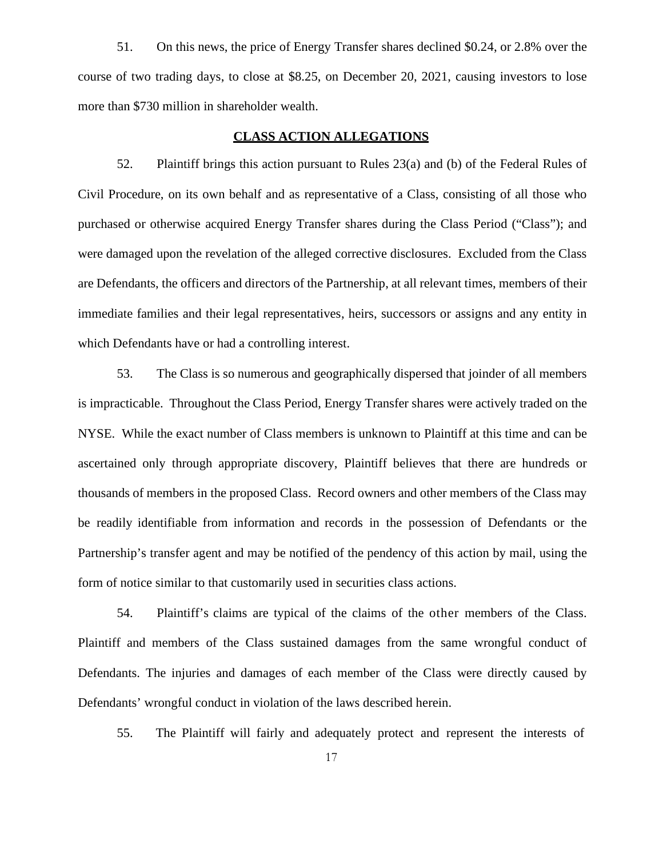51. On this news, the price of Energy Transfer shares declined \$0.24, or 2.8% over the course of two trading days, to close at \$8.25, on December 20, 2021, causing investors to lose more than \$730 million in shareholder wealth.

#### **CLASS ACTION ALLEGATIONS**

52. Plaintiff brings this action pursuant to Rules 23(a) and (b) of the Federal Rules of Civil Procedure, on its own behalf and as representative of a Class, consisting of all those who purchased or otherwise acquired Energy Transfer shares during the Class Period ("Class"); and were damaged upon the revelation of the alleged corrective disclosures. Excluded from the Class are Defendants, the officers and directors of the Partnership, at all relevant times, members of their immediate families and their legal representatives, heirs, successors or assigns and any entity in which Defendants have or had a controlling interest.

53. The Class is so numerous and geographically dispersed that joinder of all members is impracticable. Throughout the Class Period, Energy Transfer shares were actively traded on the NYSE. While the exact number of Class members is unknown to Plaintiff at this time and can be ascertained only through appropriate discovery, Plaintiff believes that there are hundreds or thousands of members in the proposed Class. Record owners and other members of the Class may be readily identifiable from information and records in the possession of Defendants or the Partnership's transfer agent and may be notified of the pendency of this action by mail, using the form of notice similar to that customarily used in securities class actions.

54. Plaintiff's claims are typical of the claims of the other members of the Class. Plaintiff and members of the Class sustained damages from the same wrongful conduct of Defendants. The injuries and damages of each member of the Class were directly caused by Defendants' wrongful conduct in violation of the laws described herein.

55. The Plaintiff will fairly and adequately protect and represent the interests of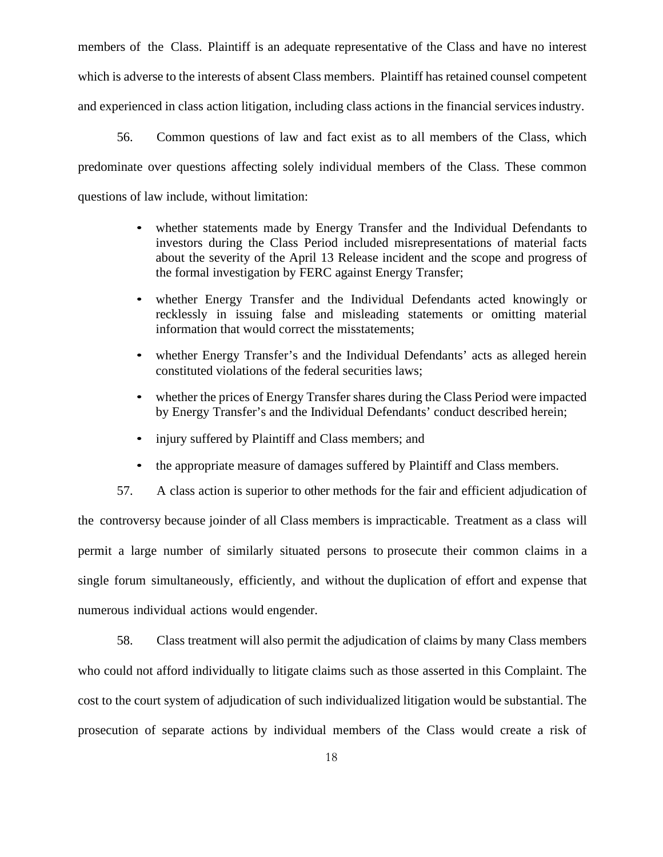members of the Class. Plaintiff is an adequate representative of the Class and have no interest which is adverse to the interests of absent Class members. Plaintiff has retained counsel competent and experienced in class action litigation, including class actions in the financial servicesindustry.

56. Common questions of law and fact exist as to all members of the Class, which predominate over questions affecting solely individual members of the Class. These common questions of law include, without limitation:

- whether statements made by Energy Transfer and the Individual Defendants to investors during the Class Period included misrepresentations of material facts about the severity of the April 13 Release incident and the scope and progress of the formal investigation by FERC against Energy Transfer;
- whether Energy Transfer and the Individual Defendants acted knowingly or recklessly in issuing false and misleading statements or omitting material information that would correct the misstatements;
- whether Energy Transfer's and the Individual Defendants' acts as alleged herein constituted violations of the federal securities laws;
- whether the prices of Energy Transfer shares during the Class Period were impacted by Energy Transfer's and the Individual Defendants' conduct described herein;
- injury suffered by Plaintiff and Class members; and
- the appropriate measure of damages suffered by Plaintiff and Class members.

57. A class action is superior to other methods for the fair and efficient adjudication of the controversy because joinder of all Class members is impracticable. Treatment as a class will permit a large number of similarly situated persons to prosecute their common claims in a single forum simultaneously, efficiently, and without the duplication ofeffort and expense that numerous individual actions would engender.

58. Class treatment will also permit the adjudication of claims by many Class members who could not afford individually to litigate claims such as those asserted in this Complaint. The cost to the court system of adjudication of such individualized litigation would be substantial. The prosecution of separate actions by individual members of the Class would create a risk of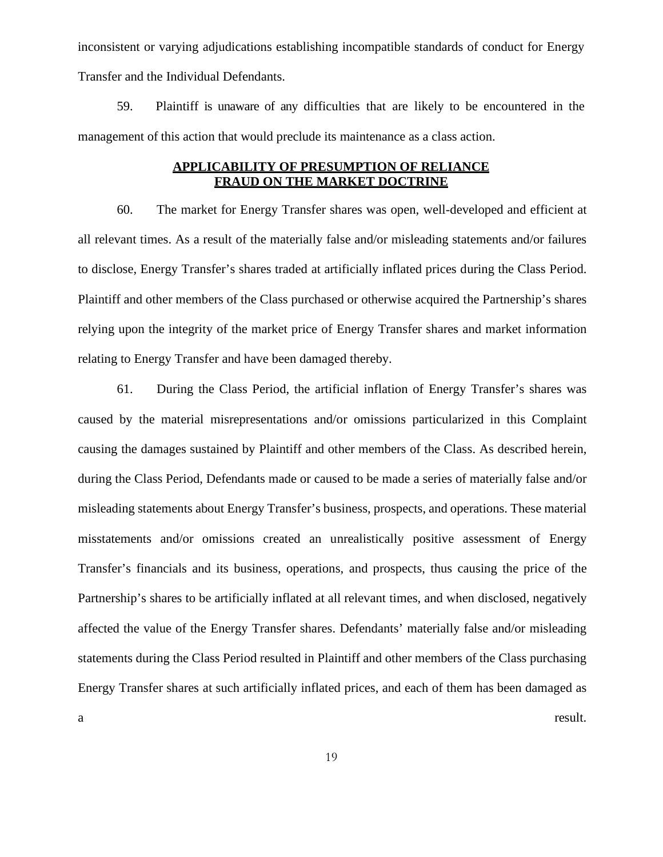inconsistent or varying adjudications establishing incompatible standards of conduct for Energy Transfer and the Individual Defendants.

59. Plaintiff is unaware of any difficulties that are likely to be encountered in the management of this action that would preclude its maintenance as a class action.

# **APPLICABILITY OF PRESUMPTION OF RELIANCE FRAUD ON THE MARKET DOCTRINE**

60. The market for Energy Transfer shares was open, well-developed and efficient at all relevant times. As a result of the materially false and/or misleading statements and/or failures to disclose, Energy Transfer's shares traded at artificially inflated prices during the Class Period. Plaintiff and other members of the Class purchased or otherwise acquired the Partnership's shares relying upon the integrity of the market price of Energy Transfer shares and market information relating to Energy Transfer and have been damaged thereby.

61. During the Class Period, the artificial inflation of Energy Transfer's shares was caused by the material misrepresentations and/or omissions particularized in this Complaint causing the damages sustained by Plaintiff and other members of the Class. As described herein, during the Class Period, Defendants made or caused to be made a series of materially false and/or misleading statements about Energy Transfer's business, prospects, and operations. These material misstatements and/or omissions created an unrealistically positive assessment of Energy Transfer's financials and its business, operations, and prospects, thus causing the price of the Partnership's shares to be artificially inflated at all relevant times, and when disclosed, negatively affected the value of the Energy Transfer shares. Defendants' materially false and/or misleading statements during the Class Period resulted in Plaintiff and other members of the Class purchasing Energy Transfer shares at such artificially inflated prices, and each of them has been damaged as a result.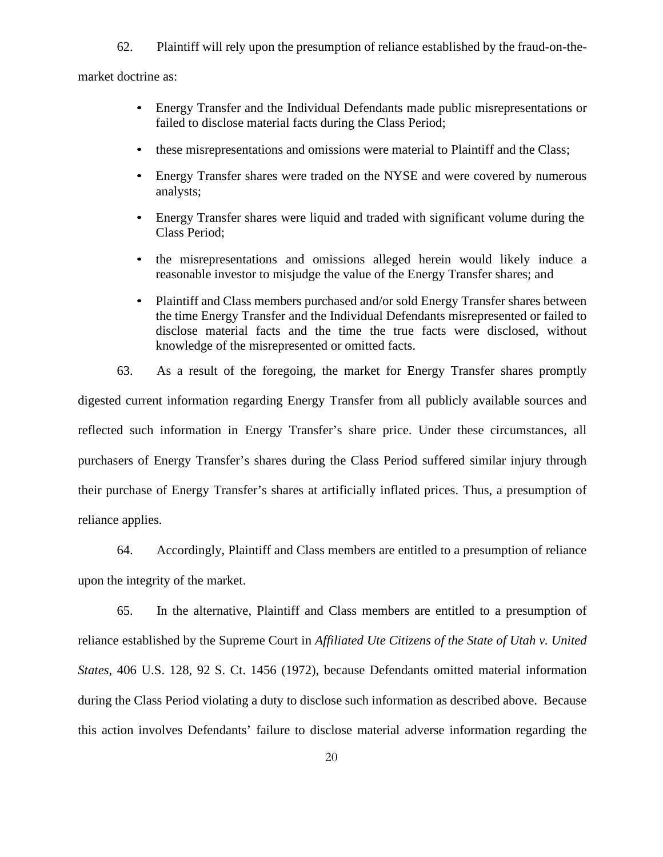62. Plaintiff will rely upon the presumption of reliance established by the fraud-on-the-

market doctrine as:

- Energy Transfer and the Individual Defendants made public misrepresentations or failed to disclose material facts during the Class Period;
- these misrepresentations and omissions were material to Plaintiff and the Class;
- Energy Transfer shares were traded on the NYSE and were covered by numerous analysts;
- Energy Transfer shares were liquid and traded with significant volume during the Class Period;
- the misrepresentations and omissions alleged herein would likely induce a reasonable investor to misjudge the value of the Energy Transfer shares; and
- Plaintiff and Class members purchased and/or sold Energy Transfer shares between the time Energy Transfer and the Individual Defendants misrepresented or failed to disclose material facts and the time the true facts were disclosed, without knowledge of the misrepresented or omitted facts.

63. As a result of the foregoing, the market for Energy Transfer shares promptly digested current information regarding Energy Transfer from all publicly available sources and reflected such information in Energy Transfer's share price. Under these circumstances, all purchasers of Energy Transfer's shares during the Class Period suffered similar injury through their purchase of Energy Transfer's shares at artificially inflated prices. Thus, a presumption of reliance applies.

64. Accordingly, Plaintiff and Class members are entitled to a presumption of reliance upon the integrity of the market.

65. In the alternative, Plaintiff and Class members are entitled to a presumption of reliance established by the Supreme Court in *Affiliated Ute Citizens of the State of Utah v. United States*, 406 U.S. 128, 92 S. Ct. 1456 (1972), because Defendants omitted material information during the Class Period violating a duty to disclose such information as described above. Because this action involves Defendants' failure to disclose material adverse information regarding the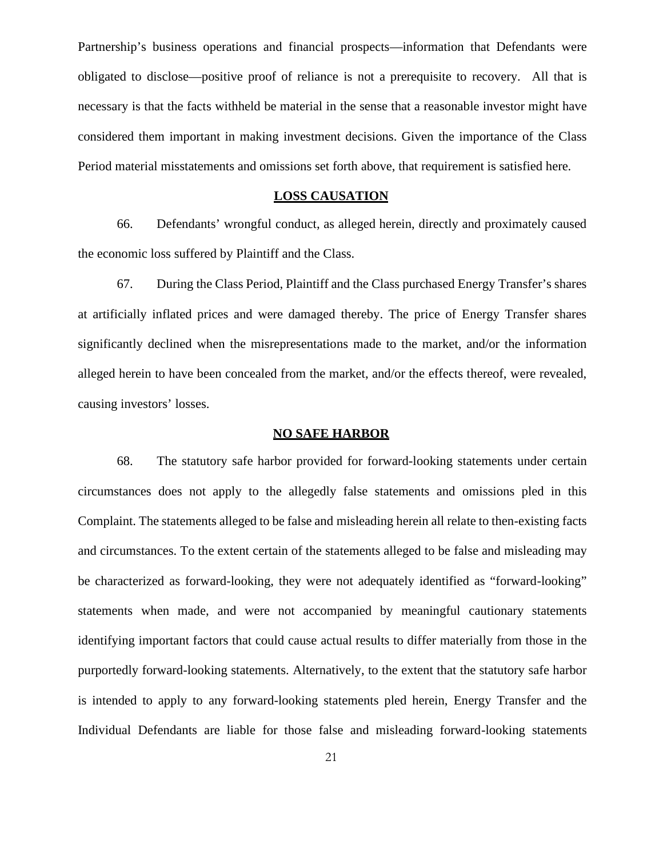Partnership's business operations and financial prospects—information that Defendants were obligated to disclose—positive proof of reliance is not a prerequisite to recovery. All that is necessary is that the facts withheld be material in the sense that a reasonable investor might have considered them important in making investment decisions. Given the importance of the Class Period material misstatements and omissions set forth above, that requirement is satisfied here.

## **LOSS CAUSATION**

66. Defendants' wrongful conduct, as alleged herein, directly and proximately caused the economic loss suffered by Plaintiff and the Class.

67. During the Class Period, Plaintiff and the Class purchased Energy Transfer's shares at artificially inflated prices and were damaged thereby. The price of Energy Transfer shares significantly declined when the misrepresentations made to the market, and/or the information alleged herein to have been concealed from the market, and/or the effects thereof, were revealed, causing investors' losses.

#### **NO SAFE HARBOR**

68. The statutory safe harbor provided for forward-looking statements under certain circumstances does not apply to the allegedly false statements and omissions pled in this Complaint. The statements alleged to be false and misleading herein all relate to then-existing facts and circumstances. To the extent certain of the statements alleged to be false and misleading may be characterized as forward-looking, they were not adequately identified as "forward-looking" statements when made, and were not accompanied by meaningful cautionary statements identifying important factors that could cause actual results to differ materially from those in the purportedly forward-looking statements. Alternatively, to the extent that the statutory safe harbor is intended to apply to any forward-looking statements pled herein, Energy Transfer and the Individual Defendants are liable for those false and misleading forward-looking statements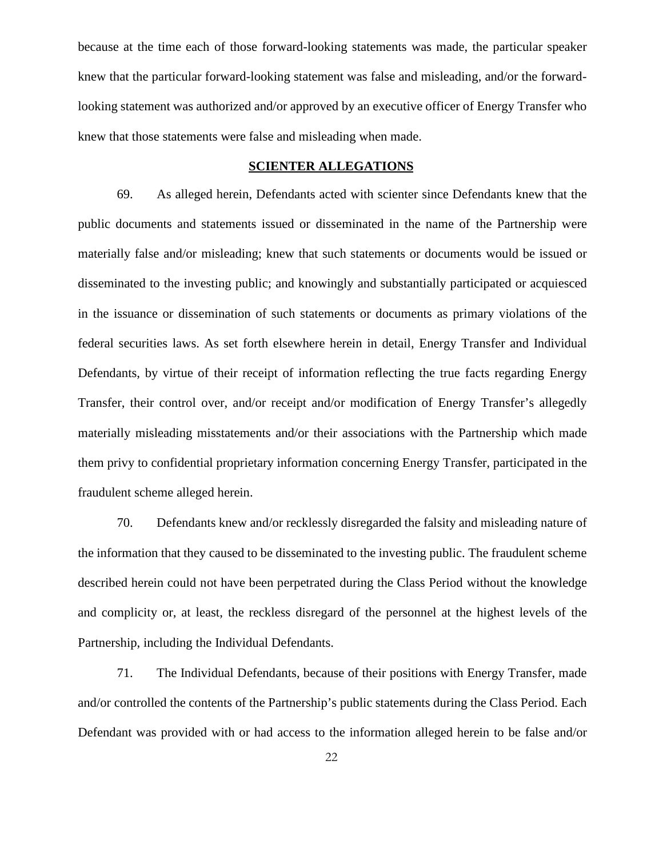because at the time each of those forward-looking statements was made, the particular speaker knew that the particular forward-looking statement was false and misleading, and/or the forwardlooking statement was authorized and/or approved by an executive officer of Energy Transfer who knew that those statements were false and misleading when made.

### **SCIENTER ALLEGATIONS**

69. As alleged herein, Defendants acted with scienter since Defendants knew that the public documents and statements issued or disseminated in the name of the Partnership were materially false and/or misleading; knew that such statements or documents would be issued or disseminated to the investing public; and knowingly and substantially participated or acquiesced in the issuance or dissemination of such statements or documents as primary violations of the federal securities laws. As set forth elsewhere herein in detail, Energy Transfer and Individual Defendants, by virtue of their receipt of information reflecting the true facts regarding Energy Transfer, their control over, and/or receipt and/or modification of Energy Transfer's allegedly materially misleading misstatements and/or their associations with the Partnership which made them privy to confidential proprietary information concerning Energy Transfer, participated in the fraudulent scheme alleged herein.

70. Defendants knew and/or recklessly disregarded the falsity and misleading nature of the information that they caused to be disseminated to the investing public. The fraudulent scheme described herein could not have been perpetrated during the Class Period without the knowledge and complicity or, at least, the reckless disregard of the personnel at the highest levels of the Partnership, including the Individual Defendants.

71. The Individual Defendants, because of their positions with Energy Transfer, made and/or controlled the contents of the Partnership's public statements during the Class Period. Each Defendant was provided with or had access to the information alleged herein to be false and/or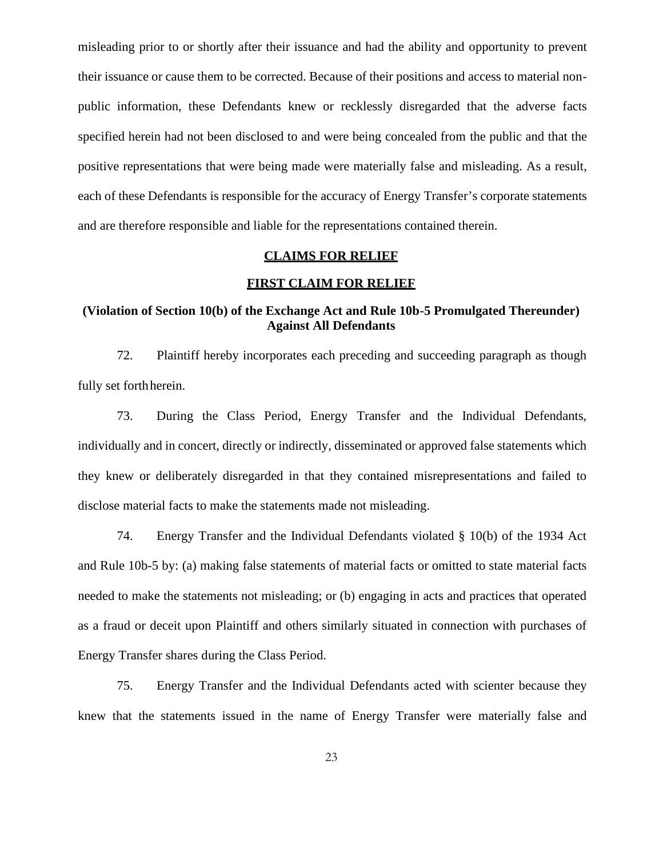misleading prior to or shortly after their issuance and had the ability and opportunity to prevent their issuance or cause them to be corrected. Because of their positions and access to material non public information, these Defendants knew or recklessly disregarded that the adverse facts specified herein had not been disclosed to and were being concealed from the public and that the positive representations that were being made were materially false and misleading. As a result, each of these Defendants is responsible for the accuracy of Energy Transfer's corporate statements and are therefore responsible and liable for the representations contained therein.

## **CLAIMS FOR RELIEF**

#### **FIRST CLAIM FOR RELIEF**

# **(Violation of Section 10(b) of the Exchange Act and Rule 10b-5 Promulgated Thereunder) Against All Defendants**

72. Plaintiff hereby incorporates each preceding and succeeding paragraph as though fully set forthherein.

73. During the Class Period, Energy Transfer and the Individual Defendants, individually and in concert, directly or indirectly, disseminated or approved false statements which they knew or deliberately disregarded in that they contained misrepresentations and failed to disclose material facts to make the statements made not misleading.

74. Energy Transfer and the Individual Defendants violated § 10(b) of the 1934 Act and Rule 10b-5 by: (a) making false statements of material facts or omitted to state material facts needed to make the statements not misleading; or (b) engaging in acts and practices that operated as a fraud or deceit upon Plaintiff and others similarly situated in connection with purchases of Energy Transfer shares during the Class Period.

75. Energy Transfer and the Individual Defendants acted with scienter because they knew that the statements issued in the name of Energy Transfer were materially false and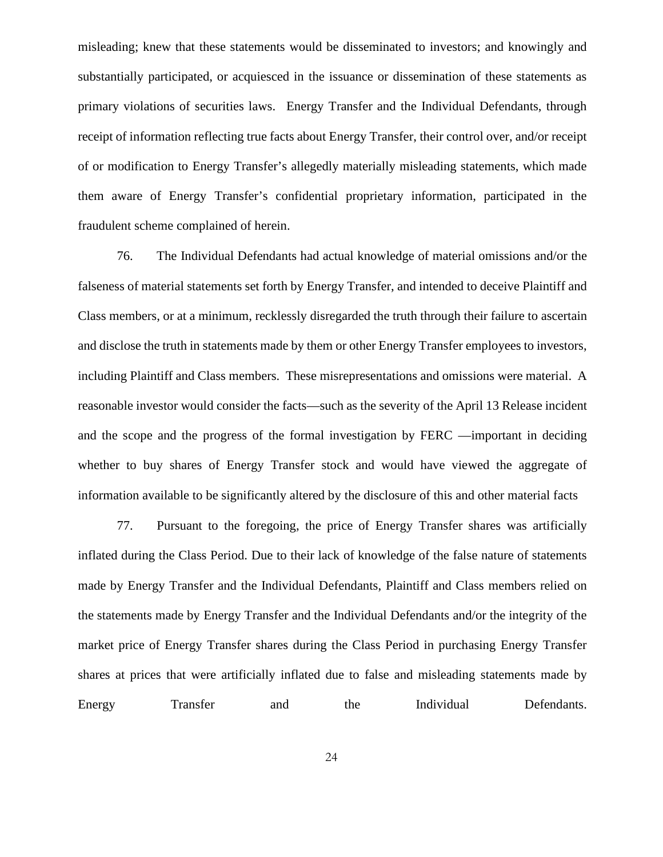misleading; knew that these statements would be disseminated to investors; and knowingly and substantially participated, or acquiesced in the issuance or dissemination of these statements as primary violations of securities laws. Energy Transfer and the Individual Defendants, through receipt of information reflecting true facts about Energy Transfer, their control over, and/or receipt of or modification to Energy Transfer's allegedly materially misleading statements, which made them aware of Energy Transfer's confidential proprietary information, participated in the fraudulent scheme complained of herein.

76. The Individual Defendants had actual knowledge of material omissions and/or the falseness of material statements set forth by Energy Transfer, and intended to deceive Plaintiff and Class members, or at a minimum, recklessly disregarded the truth through their failure to ascertain and disclose the truth in statements made by them or other Energy Transfer employees to investors, including Plaintiff and Class members. These misrepresentations and omissions were material. A reasonable investor would consider the facts—such as the severity of the April 13 Release incident and the scope and the progress of the formal investigation by FERC —important in deciding whether to buy shares of Energy Transfer stock and would have viewed the aggregate of information available to be significantly altered by the disclosure of this and other material facts

77. Pursuant to the foregoing, the price of Energy Transfer shares was artificially inflated during the Class Period. Due to their lack of knowledge of the false nature of statements made by Energy Transfer and the Individual Defendants, Plaintiff and Class members relied on the statements made by Energy Transfer and the Individual Defendants and/or the integrity of the market price of Energy Transfer shares during the Class Period in purchasing Energy Transfer shares at prices that were artificially inflated due to false and misleading statements made by Energy Transfer and the Individual Defendants.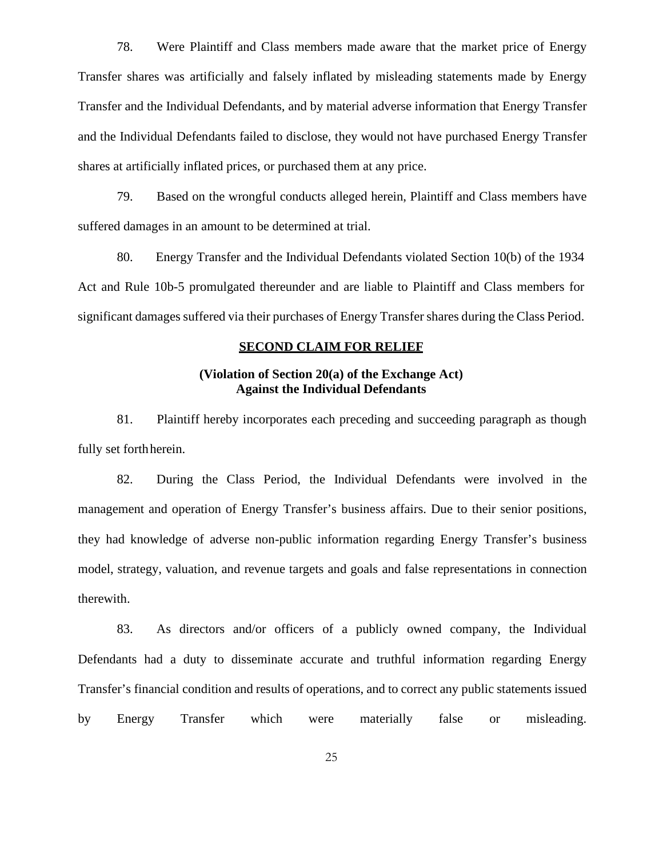78. Were Plaintiff and Class members made aware that the market price of Energy Transfer shares was artificially and falsely inflated by misleading statements made by Energy Transfer and the Individual Defendants, and by material adverse information that Energy Transfer and the Individual Defendants failed to disclose, they would not have purchased Energy Transfer shares at artificially inflated prices, or purchased them at any price.

79. Based on the wrongful conducts alleged herein, Plaintiff and Class members have suffered damages in an amount to be determined at trial.

80. Energy Transfer and the Individual Defendants violated Section 10(b) of the 1934 Act and Rule 10b-5 promulgated thereunder and are liable to Plaintiff and Class members for significant damages suffered via their purchases of Energy Transfer shares during the Class Period.

### **SECOND CLAIM FOR RELIEF**

# **(Violation of Section 20(a) of the Exchange Act) Against the Individual Defendants**

81. Plaintiff hereby incorporates each preceding and succeeding paragraph as though fully set forthherein.

82. During the Class Period, the Individual Defendants were involved in the management and operation of Energy Transfer's business affairs. Due to their senior positions, they had knowledge of adverse non-public information regarding Energy Transfer's business model, strategy, valuation, and revenue targets and goals and false representations in connection therewith.

83. As directors and/or officers of a publicly owned company, the Individual Defendants had a duty to disseminate accurate and truthful information regarding Energy Transfer's financial condition and results of operations, and to correct any public statements issued by Energy Transfer which were materially false or misleading.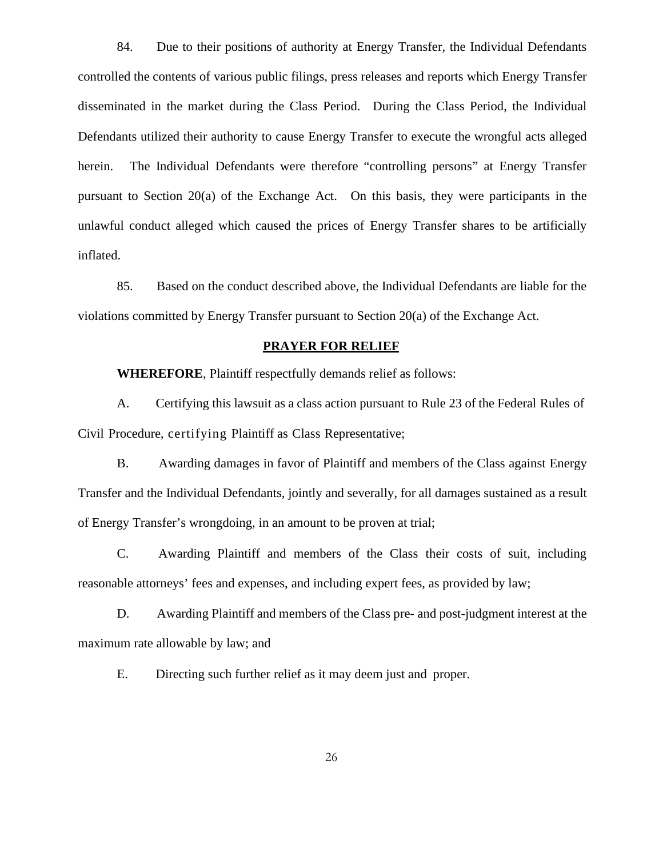84. Due to their positions of authority at Energy Transfer, the Individual Defendants controlled the contents of various public filings, press releases and reports which Energy Transfer disseminated in the market during the Class Period. During the Class Period, the Individual Defendants utilized their authority to cause Energy Transfer to execute the wrongful acts alleged herein. The Individual Defendants were therefore "controlling persons" at Energy Transfer pursuant to Section 20(a) of the Exchange Act. On this basis, they were participants in the unlawful conduct alleged which caused the prices of Energy Transfer shares to be artificially inflated.

85. Based on the conduct described above, the Individual Defendants are liable for the violations committed by Energy Transfer pursuant to Section 20(a) of the Exchange Act.

## **PRAYER FOR RELIEF**

**WHEREFORE**, Plaintiff respectfully demands relief as follows:

A. Certifying this lawsuit as a class action pursuant to Rule 23 of the Federal Rules of Civil Procedure, certifying Plaintiff as Class Representative;

B. Awarding damages in favor of Plaintiff and members of the Class against Energy Transfer and the Individual Defendants, jointly and severally, for all damages sustained as a result of Energy Transfer's wrongdoing, in an amount to be proven at trial;

C. Awarding Plaintiff and members of the Class their costs of suit, including reasonable attorneys' fees and expenses, and including expert fees, as provided by law;

D. Awarding Plaintiff and members of the Class pre- and post-judgment interest at the maximum rate allowable by law; and

E. Directing such further relief as it may deem just and proper.

26